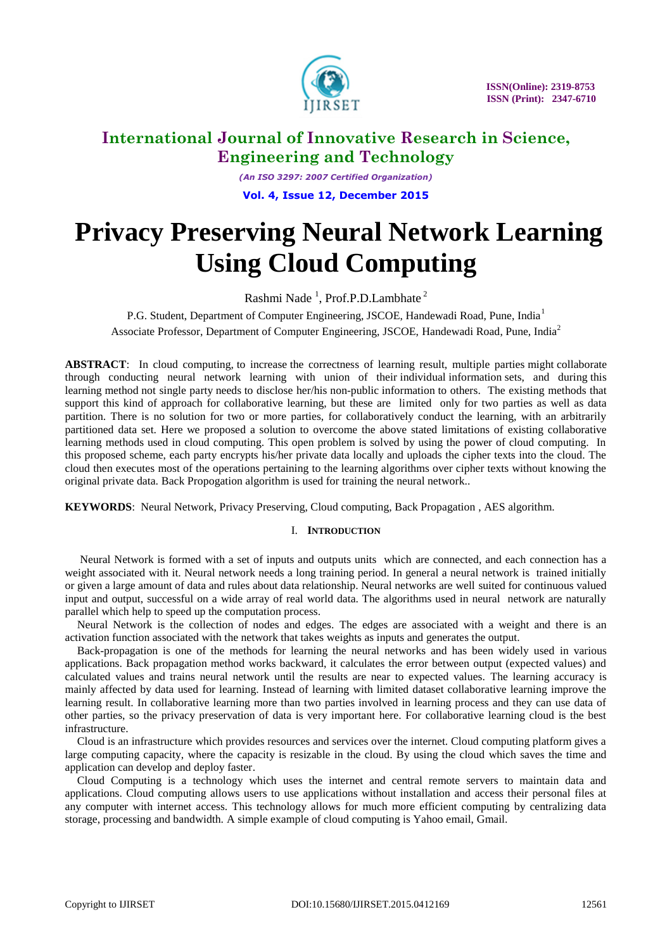

*(An ISO 3297: 2007 Certified Organization)* **Vol. 4, Issue 12, December 2015**

# **Privacy Preserving Neural Network Learning Using Cloud Computing**

Rashmi Nade<sup>1</sup>, Prof.P.D.Lambhate<sup>2</sup>

P.G. Student, Department of Computer Engineering, JSCOE, Handewadi Road, Pune, India<sup>1</sup> Associate Professor, Department of Computer Engineering, JSCOE, Handewadi Road, Pune, India<sup>2</sup>

**ABSTRACT**: In cloud computing, to increase the correctness of learning result, multiple parties might collaborate through conducting neural network learning with union of their individual information sets, and during this learning method not single party needs to disclose her/his non-public information to others. The existing methods that support this kind of approach for collaborative learning, but these are limited only for two parties as well as data partition. There is no solution for two or more parties, for collaboratively conduct the learning, with an arbitrarily partitioned data set. Here we proposed a solution to overcome the above stated limitations of existing collaborative learning methods used in cloud computing. This open problem is solved by using the power of cloud computing. In this proposed scheme, each party encrypts his/her private data locally and uploads the cipher texts into the cloud. The cloud then executes most of the operations pertaining to the learning algorithms over cipher texts without knowing the original private data. Back Propogation algorithm is used for training the neural network..

**KEYWORDS**: Neural Network, Privacy Preserving, Cloud computing, Back Propagation , AES algorithm.

### I. **INTRODUCTION**

Neural Network is formed with a set of inputs and outputs units which are connected, and each connection has a weight associated with it. Neural network needs a long training period. In general a neural network is trained initially or given a large amount of data and rules about data relationship. Neural networks are well suited for continuous valued input and output, successful on a wide array of real world data. The algorithms used in neural network are naturally parallel which help to speed up the computation process.

Neural Network is the collection of nodes and edges. The edges are associated with a weight and there is an activation function associated with the network that takes weights as inputs and generates the output.

Back-propagation is one of the methods for learning the neural networks and has been widely used in various applications. Back propagation method works backward, it calculates the error between output (expected values) and calculated values and trains neural network until the results are near to expected values. The learning accuracy is mainly affected by data used for learning. Instead of learning with limited dataset collaborative learning improve the learning result. In collaborative learning more than two parties involved in learning process and they can use data of other parties, so the privacy preservation of data is very important here. For collaborative learning cloud is the best infrastructure.

Cloud is an infrastructure which provides resources and services over the internet. Cloud computing platform gives a large computing capacity, where the capacity is resizable in the cloud. By using the cloud which saves the time and application can develop and deploy faster.

Cloud Computing is a technology which uses the internet and central remote servers to maintain data and applications. Cloud computing allows users to use applications without installation and access their personal files at any computer with internet access. This technology allows for much more efficient computing by centralizing data storage, processing and bandwidth. A simple example of cloud computing is Yahoo email, Gmail.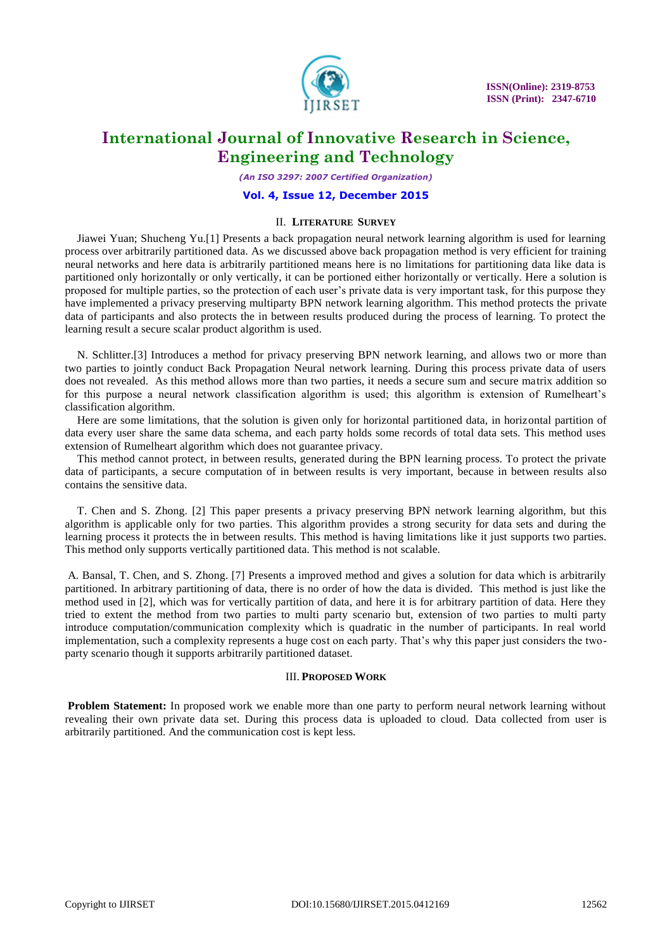

*(An ISO 3297: 2007 Certified Organization)*

#### **Vol. 4, Issue 12, December 2015**

### II. **LITERATURE SURVEY**

Jiawei Yuan; Shucheng Yu.[1] Presents a back propagation neural network learning algorithm is used for learning process over arbitrarily partitioned data. As we discussed above back propagation method is very efficient for training neural networks and here data is arbitrarily partitioned means here is no limitations for partitioning data like data is partitioned only horizontally or only vertically, it can be portioned either horizontally or vertically. Here a solution is proposed for multiple parties, so the protection of each user's private data is very important task, for this purpose they have implemented a privacy preserving multiparty BPN network learning algorithm. This method protects the private data of participants and also protects the in between results produced during the process of learning. To protect the learning result a secure scalar product algorithm is used.

N. Schlitter.[3] Introduces a method for privacy preserving BPN network learning, and allows two or more than two parties to jointly conduct Back Propagation Neural network learning. During this process private data of users does not revealed. As this method allows more than two parties, it needs a secure sum and secure matrix addition so for this purpose a neural network classification algorithm is used; this algorithm is extension of Rumelheart's classification algorithm.

Here are some limitations, that the solution is given only for horizontal partitioned data, in horizontal partition of data every user share the same data schema, and each party holds some records of total data sets. This method uses extension of Rumelheart algorithm which does not guarantee privacy.

This method cannot protect, in between results, generated during the BPN learning process. To protect the private data of participants, a secure computation of in between results is very important, because in between results also contains the sensitive data.

T. Chen and S. Zhong. [2] This paper presents a privacy preserving BPN network learning algorithm, but this algorithm is applicable only for two parties. This algorithm provides a strong security for data sets and during the learning process it protects the in between results. This method is having limitations like it just supports two parties. This method only supports vertically partitioned data. This method is not scalable.

A. Bansal, T. Chen, and S. Zhong. [7] Presents a improved method and gives a solution for data which is arbitrarily partitioned. In arbitrary partitioning of data, there is no order of how the data is divided. This method is just like the method used in [2], which was for vertically partition of data, and here it is for arbitrary partition of data. Here they tried to extent the method from two parties to multi party scenario but, extension of two parties to multi party introduce computation/communication complexity which is quadratic in the number of participants. In real world implementation, such a complexity represents a huge cost on each party. That's why this paper just considers the twoparty scenario though it supports arbitrarily partitioned dataset.

#### III. **PROPOSED WORK**

**Problem Statement:** In proposed work we enable more than one party to perform neural network learning without revealing their own private data set. During this process data is uploaded to cloud. Data collected from user is arbitrarily partitioned. And the communication cost is kept less.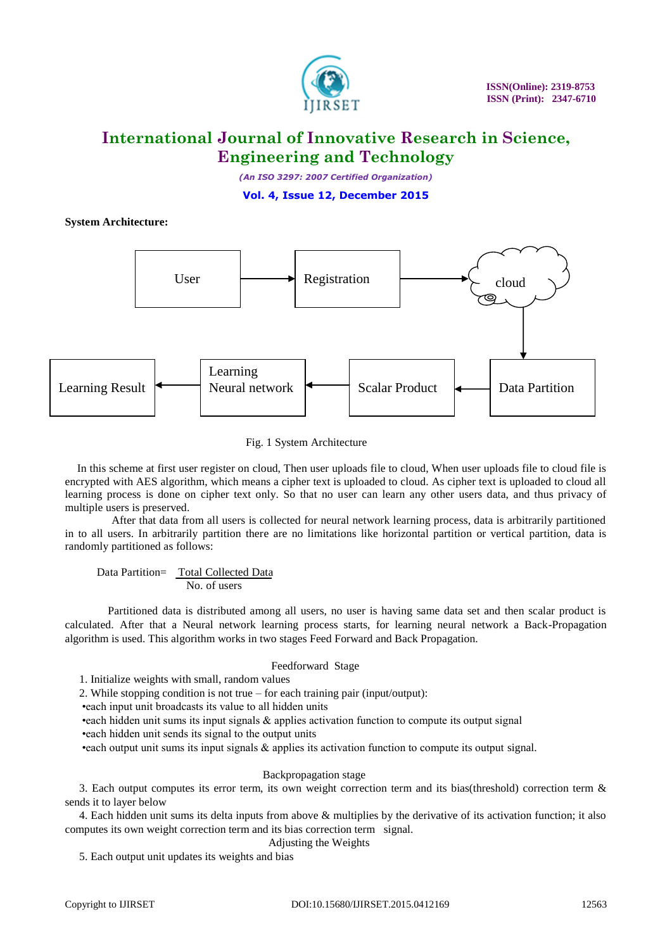

*(An ISO 3297: 2007 Certified Organization)*

**Vol. 4, Issue 12, December 2015**

## **System Architecture:**



#### Fig. 1 System Architecture

In this scheme at first user register on cloud, Then user uploads file to cloud, When user uploads file to cloud file is encrypted with AES algorithm, which means a cipher text is uploaded to cloud. As cipher text is uploaded to cloud all learning process is done on cipher text only. So that no user can learn any other users data, and thus privacy of multiple users is preserved.

 After that data from all users is collected for neural network learning process, data is arbitrarily partitioned in to all users. In arbitrarily partition there are no limitations like horizontal partition or vertical partition, data is randomly partitioned as follows:

 Data Partition= Total Collected Data No. of users

 Partitioned data is distributed among all users, no user is having same data set and then scalar product is calculated. After that a Neural network learning process starts, for learning neural network a Back-Propagation algorithm is used. This algorithm works in two stages Feed Forward and Back Propagation.

#### Feedforward Stage

1. Initialize weights with small, random values

2. While stopping condition is not true – for each training pair (input/output):

•each input unit broadcasts its value to all hidden units

•each hidden unit sums its input signals & applies activation function to compute its output signal

•each hidden unit sends its signal to the output units

•each output unit sums its input signals & applies its activation function to compute its output signal.

### Backpropagation stage

3. Each output computes its error term, its own weight correction term and its bias(threshold) correction term & sends it to layer below

4. Each hidden unit sums its delta inputs from above & multiplies by the derivative of its activation function; it also computes its own weight correction term and its bias correction term signal.

#### Adjusting the Weights

5. Each output unit updates its weights and bias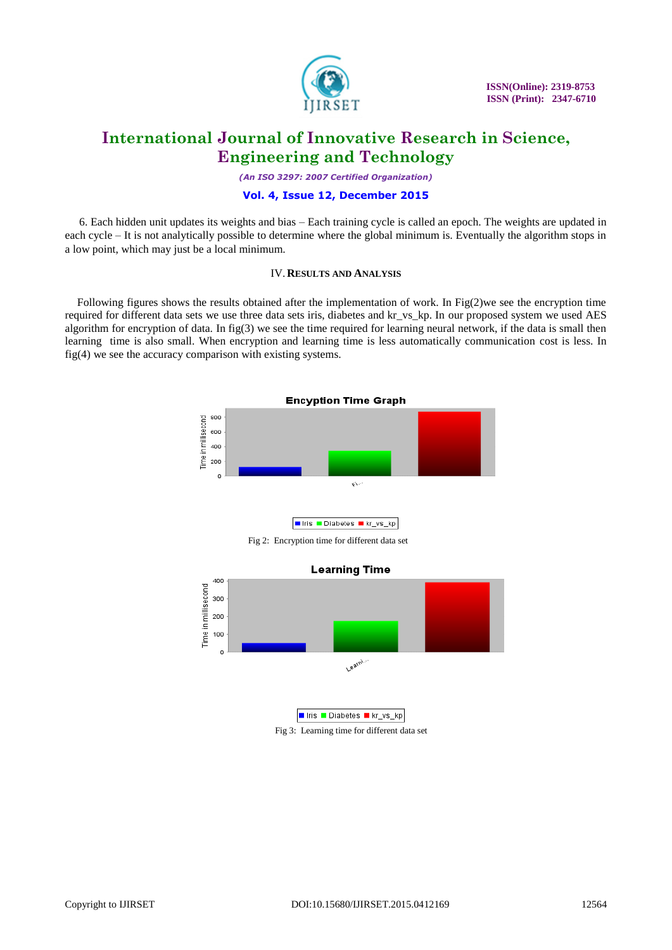

*(An ISO 3297: 2007 Certified Organization)*

### **Vol. 4, Issue 12, December 2015**

6. Each hidden unit updates its weights and bias – Each training cycle is called an epoch. The weights are updated in each cycle – It is not analytically possible to determine where the global minimum is. Eventually the algorithm stops in a low point, which may just be a local minimum.

### IV.**RESULTS AND ANALYSIS**

Following figures shows the results obtained after the implementation of work. In Fig(2)we see the encryption time required for different data sets we use three data sets iris, diabetes and kr\_vs\_kp. In our proposed system we used AES algorithm for encryption of data. In fig( $3$ ) we see the time required for learning neural network, if the data is small then learning time is also small. When encryption and learning time is less automatically communication cost is less. In fig(4) we see the accuracy comparison with existing systems.